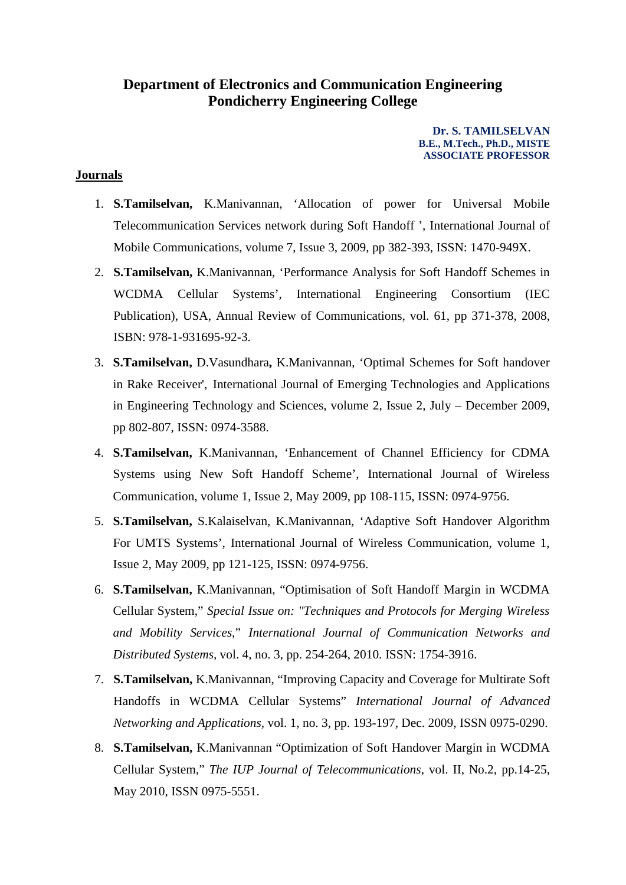## **Department of Electronics and Communication Engineering Pondicherry Engineering College**

**Dr. S. TAMILSELVAN B.E., M.Tech., Ph.D., MISTE ASSOCIATE PROFESSOR**

## **Journals**

- 1. **S.Tamilselvan,** K.Manivannan, 'Allocation of power for Universal Mobile Telecommunication Services network during Soft Handoff ', International Journal of Mobile Communications, volume 7, Issue 3, 2009, pp 382-393, ISSN: 1470-949X.
- 2. **S.Tamilselvan,** K.Manivannan, 'Performance Analysis for Soft Handoff Schemes in WCDMA Cellular Systems', International Engineering Consortium (IEC Publication), USA, Annual Review of Communications, vol. 61, pp 371-378, 2008, ISBN: 978-1-931695-92-3.
- 3. **S.Tamilselvan,** D.Vasundhara**,** K.Manivannan, 'Optimal Schemes for Soft handover in Rake Receiver', International Journal of Emerging Technologies and Applications in Engineering Technology and Sciences, volume 2, Issue 2, July – December 2009, pp 802-807, ISSN: 0974-3588.
- 4. **S.Tamilselvan,** K.Manivannan, 'Enhancement of Channel Efficiency for CDMA Systems using New Soft Handoff Scheme', International Journal of Wireless Communication, volume 1, Issue 2, May 2009, pp 108-115, ISSN: 0974-9756.
- 5. **S.Tamilselvan,** S.Kalaiselvan, K.Manivannan, 'Adaptive Soft Handover Algorithm For UMTS Systems', International Journal of Wireless Communication, volume 1, Issue 2, May 2009, pp 121-125, ISSN: 0974-9756.
- 6. **S.Tamilselvan,** K.Manivannan, "Optimisation of Soft Handoff Margin in WCDMA Cellular System," *Special Issue on: "Techniques and Protocols for Merging Wireless and Mobility Services*," *International Journal of Communication Networks and Distributed Systems,* vol. 4, no. 3, pp. 254-264, 2010. ISSN: 1754-3916.
- 7. **S.Tamilselvan,** K.Manivannan, "Improving Capacity and Coverage for Multirate Soft Handoffs in WCDMA Cellular Systems" *International Journal of Advanced Networking and Applications,* vol. 1, no. 3, pp. 193-197, Dec. 2009, ISSN 0975-0290.
- 8. **S.Tamilselvan,** K.Manivannan "Optimization of Soft Handover Margin in WCDMA Cellular System," *The IUP Journal of Telecommunications*, vol. II, No.2, pp.14-25, May 2010, ISSN 0975-5551.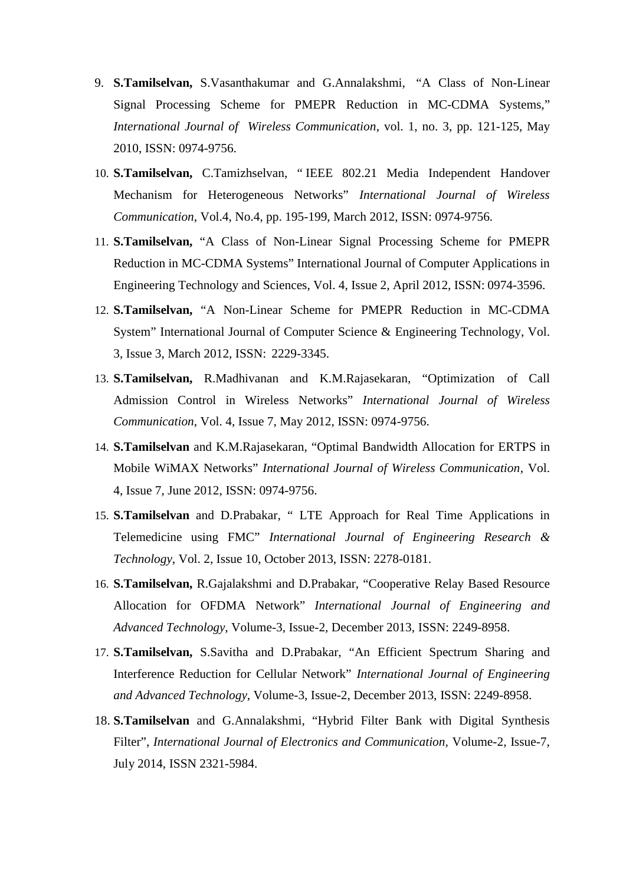- 9. **S.Tamilselvan,** S.Vasanthakumar and G.Annalakshmi, "A Class of Non-Linear Signal Processing Scheme for PMEPR Reduction in MC-CDMA Systems," *International Journal of Wireless Communication*, vol. 1, no. 3, pp. 121-125, May 2010, ISSN: 0974-9756.
- 10. **S.Tamilselvan,** C.Tamizhselvan, " IEEE 802.21 Media Independent Handover Mechanism for Heterogeneous Networks" *International Journal of Wireless Communication*, Vol.4, No.4, pp. 195-199, March 2012, ISSN: 0974-9756.
- 11. **S.Tamilselvan,** "A Class of Non-Linear Signal Processing Scheme for PMEPR Reduction in MC-CDMA Systems" International Journal of Computer Applications in Engineering Technology and Sciences, Vol. 4, Issue 2, April 2012, ISSN: 0974-3596.
- 12. **S.Tamilselvan,** "A Non-Linear Scheme for PMEPR Reduction in MC-CDMA System" International Journal of Computer Science & Engineering Technology, Vol. 3, Issue 3, March 2012, ISSN: 2229-3345.
- 13. **S.Tamilselvan,** R.Madhivanan and K.M.Rajasekaran, "Optimization of Call Admission Control in Wireless Networks" *International Journal of Wireless Communication*, Vol. 4, Issue 7, May 2012, ISSN: 0974-9756.
- 14. **S.Tamilselvan** and K.M.Rajasekaran, "Optimal Bandwidth Allocation for ERTPS in Mobile WiMAX Networks" *International Journal of Wireless Communication*, Vol. 4, Issue 7, June 2012, ISSN: 0974-9756.
- 15. **S.Tamilselvan** and D.Prabakar, " LTE Approach for Real Time Applications in Telemedicine using FMC" *International Journal of Engineering Research & Technology*, Vol. 2, Issue 10, October 2013, ISSN: 2278-0181.
- 16. **S.Tamilselvan,** R.Gajalakshmi and D.Prabakar, "Cooperative Relay Based Resource Allocation for OFDMA Network" *International Journal of Engineering and Advanced Technology*, Volume-3, Issue-2, December 2013, ISSN: 2249-8958.
- 17. **S.Tamilselvan,** S.Savitha and D.Prabakar, "An Efficient Spectrum Sharing and Interference Reduction for Cellular Network" *International Journal of Engineering and Advanced Technology*, Volume-3, Issue-2, December 2013, ISSN: 2249-8958.
- 18. **S.Tamilselvan** and G.Annalakshmi, "Hybrid Filter Bank with Digital Synthesis Filter", *International Journal of Electronics and Communication,* Volume-2, Issue-7, July 2014, [ISSN 2321-5984.](http://www.ipasj.org/IIJEC/IIJEC.htm)